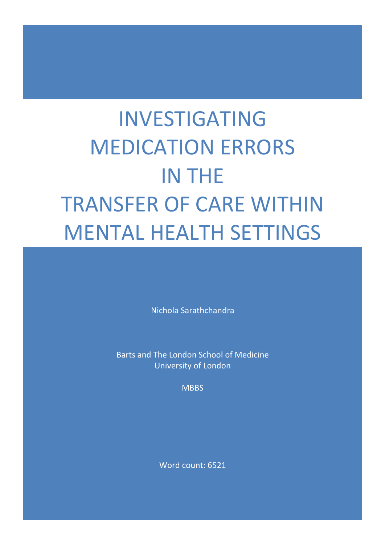# INVESTIGATING MEDICATION ERRORS IN THE TRANSFER OF CARE WITHIN MENTAL HEALTH SETTINGS

Nichola Sarathchandra

Barts and The London School of Medicine University of London

**MBBS** 

Word count: 6521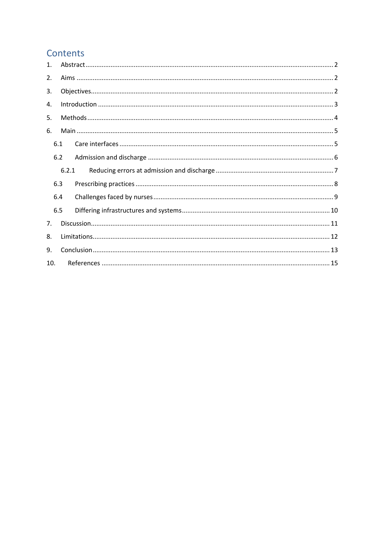# Contents

| $\mathbf{1}$ . |       |  |
|----------------|-------|--|
| 2.             |       |  |
| 3.             |       |  |
| 4.             |       |  |
| 5.             |       |  |
| 6.             |       |  |
|                | 6.1   |  |
|                | 6.2   |  |
|                | 6.2.1 |  |
|                | 6.3   |  |
|                | 6.4   |  |
|                | 6.5   |  |
| 7.             |       |  |
| 8.             |       |  |
|                |       |  |
| 9.             |       |  |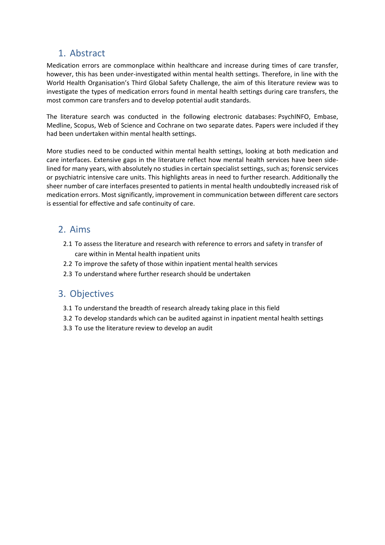# <span id="page-2-0"></span>1. Abstract

Medication errors are commonplace within healthcare and increase during times of care transfer, however, this has been under-investigated within mental health settings. Therefore, in line with the World Health Organisation's Third Global Safety Challenge, the aim of this literature review was to investigate the types of medication errors found in mental health settings during care transfers, the most common care transfers and to develop potential audit standards.

The literature search was conducted in the following electronic databases: PsychINFO, Embase, Medline, Scopus, Web of Science and Cochrane on two separate dates. Papers were included if they had been undertaken within mental health settings.

More studies need to be conducted within mental health settings, looking at both medication and care interfaces. Extensive gaps in the literature reflect how mental health services have been sidelined for many years, with absolutely no studies in certain specialist settings, such as; forensic services or psychiatric intensive care units. This highlights areas in need to further research. Additionally the sheer number of care interfaces presented to patients in mental health undoubtedly increased risk of medication errors. Most significantly, improvement in communication between different care sectors is essential for effective and safe continuity of care.

## <span id="page-2-1"></span>2. Aims

- 2.1 To assess the literature and research with reference to errors and safety in transfer of care within in Mental health inpatient units
- 2.2 To improve the safety of those within inpatient mental health services
- 2.3 To understand where further research should be undertaken

# <span id="page-2-2"></span>3. Objectives

- 3.1 To understand the breadth of research already taking place in this field
- 3.2 To develop standards which can be audited against in inpatient mental health settings
- 3.3 To use the literature review to develop an audit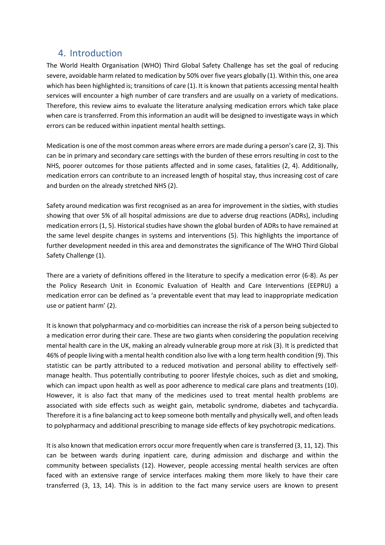## <span id="page-3-0"></span>4. Introduction

The World Health Organisation (WHO) Third Global Safety Challenge has set the goal of reducing severe, avoidable harm related to medication by 50% over five years globally (1). Within this, one area which has been highlighted is; transitions of care (1). It is known that patients accessing mental health services will encounter a high number of care transfers and are usually on a variety of medications. Therefore, this review aims to evaluate the literature analysing medication errors which take place when care is transferred. From this information an audit will be designed to investigate ways in which errors can be reduced within inpatient mental health settings.

Medication is one of the most common areas where errors are made during a person's care (2, 3). This can be in primary and secondary care settings with the burden of these errors resulting in cost to the NHS, poorer outcomes for those patients affected and in some cases, fatalities (2, 4). Additionally, medication errors can contribute to an increased length of hospital stay, thus increasing cost of care and burden on the already stretched NHS (2).

Safety around medication was first recognised as an area for improvement in the sixties, with studies showing that over 5% of all hospital admissions are due to adverse drug reactions (ADRs), including medication errors (1, 5). Historical studies have shown the global burden of ADRs to have remained at the same level despite changes in systems and interventions (5). This highlights the importance of further development needed in this area and demonstrates the significance of The WHO Third Global Safety Challenge (1).

There are a variety of definitions offered in the literature to specify a medication error (6-8). As per the Policy Research Unit in Economic Evaluation of Health and Care Interventions (EEPRU) a medication error can be defined as 'a preventable event that may lead to inappropriate medication use or patient harm' (2).

It is known that polypharmacy and co-morbidities can increase the risk of a person being subjected to a medication error during their care. These are two giants when considering the population receiving mental health care in the UK, making an already vulnerable group more at risk (3). It is predicted that 46% of people living with a mental health condition also live with a long term health condition (9). This statistic can be partly attributed to a reduced motivation and personal ability to effectively selfmanage health. Thus potentially contributing to poorer lifestyle choices, such as diet and smoking, which can impact upon health as well as poor adherence to medical care plans and treatments (10). However, it is also fact that many of the medicines used to treat mental health problems are associated with side effects such as weight gain, metabolic syndrome, diabetes and tachycardia. Therefore it is a fine balancing act to keep someone both mentally and physically well, and often leads to polypharmacy and additional prescribing to manage side effects of key psychotropic medications.

It is also known that medication errors occur more frequently when care is transferred (3, 11, 12). This can be between wards during inpatient care, during admission and discharge and within the community between specialists (12). However, people accessing mental health services are often faced with an extensive range of service interfaces making them more likely to have their care transferred (3, 13, 14). This is in addition to the fact many service users are known to present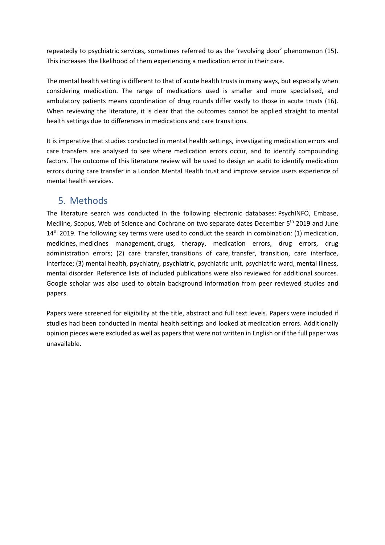repeatedly to psychiatric services, sometimes referred to as the 'revolving door' phenomenon (15). This increases the likelihood of them experiencing a medication error in their care.

The mental health setting is different to that of acute health trusts in many ways, but especially when considering medication. The range of medications used is smaller and more specialised, and ambulatory patients means coordination of drug rounds differ vastly to those in acute trusts (16). When reviewing the literature, it is clear that the outcomes cannot be applied straight to mental health settings due to differences in medications and care transitions.

It is imperative that studies conducted in mental health settings, investigating medication errors and care transfers are analysed to see where medication errors occur, and to identify compounding factors. The outcome of this literature review will be used to design an audit to identify medication errors during care transfer in a London Mental Health trust and improve service users experience of mental health services.

# <span id="page-4-0"></span>5. Methods

The literature search was conducted in the following electronic databases: PsychINFO, Embase, Medline, Scopus, Web of Science and Cochrane on two separate dates December 5<sup>th</sup> 2019 and June 14<sup>th</sup> 2019. The following key terms were used to conduct the search in combination: (1) medication, medicines, medicines management, drugs, therapy, medication errors, drug errors, drug administration errors; (2) care transfer, transitions of care, transfer, transition, care interface, interface; (3) mental health, psychiatry, psychiatric, psychiatric unit, psychiatric ward, mental illness, mental disorder. Reference lists of included publications were also reviewed for additional sources. Google scholar was also used to obtain background information from peer reviewed studies and papers.

Papers were screened for eligibility at the title, abstract and full text levels. Papers were included if studies had been conducted in mental health settings and looked at medication errors. Additionally opinion pieces were excluded as well as papers that were not written in English or if the full paper was unavailable.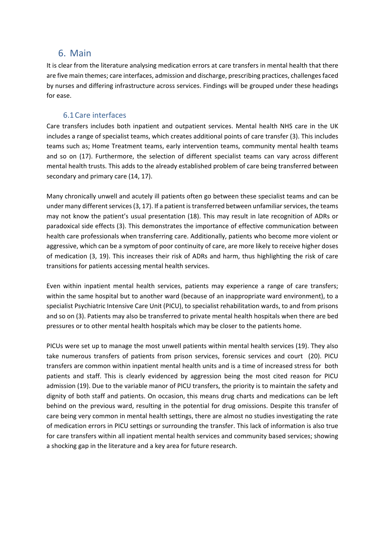## <span id="page-5-0"></span>6. Main

It is clear from the literature analysing medication errors at care transfers in mental health that there are five main themes; care interfaces, admission and discharge, prescribing practices, challenges faced by nurses and differing infrastructure across services. Findings will be grouped under these headings for ease.

#### 6.1Care interfaces

<span id="page-5-1"></span>Care transfers includes both inpatient and outpatient services. Mental health NHS care in the UK includes a range of specialist teams, which creates additional points of care transfer (3). This includes teams such as; Home Treatment teams, early intervention teams, community mental health teams and so on (17). Furthermore, the selection of different specialist teams can vary across different mental health trusts. This adds to the already established problem of care being transferred between secondary and primary care (14, 17).

Many chronically unwell and acutely ill patients often go between these specialist teams and can be under many different services (3, 17). If a patient is transferred between unfamiliar services, the teams may not know the patient's usual presentation (18). This may result in late recognition of ADRs or paradoxical side effects (3). This demonstrates the importance of effective communication between health care professionals when transferring care. Additionally, patients who become more violent or aggressive, which can be a symptom of poor continuity of care, are more likely to receive higher doses of medication (3, 19). This increases their risk of ADRs and harm, thus highlighting the risk of care transitions for patients accessing mental health services.

Even within inpatient mental health services, patients may experience a range of care transfers; within the same hospital but to another ward (because of an inappropriate ward environment), to a specialist Psychiatric Intensive Care Unit (PICU), to specialist rehabilitation wards, to and from prisons and so on (3). Patients may also be transferred to private mental health hospitals when there are bed pressures or to other mental health hospitals which may be closer to the patients home.

PICUs were set up to manage the most unwell patients within mental health services (19). They also take numerous transfers of patients from prison services, forensic services and court (20). PICU transfers are common within inpatient mental health units and is a time of increased stress for both patients and staff. This is clearly evidenced by aggression being the most cited reason for PICU admission (19). Due to the variable manor of PICU transfers, the priority is to maintain the safety and dignity of both staff and patients. On occasion, this means drug charts and medications can be left behind on the previous ward, resulting in the potential for drug omissions. Despite this transfer of care being very common in mental health settings, there are almost no studies investigating the rate of medication errors in PICU settings or surrounding the transfer. This lack of information is also true for care transfers within all inpatient mental health services and community based services; showing a shocking gap in the literature and a key area for future research.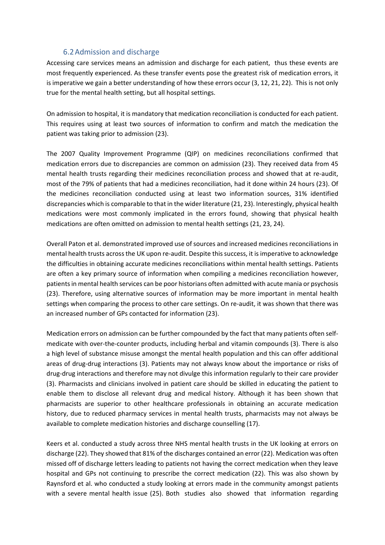#### 6.2Admission and discharge

<span id="page-6-0"></span>Accessing care services means an admission and discharge for each patient, thus these events are most frequently experienced. As these transfer events pose the greatest risk of medication errors, it is imperative we gain a better understanding of how these errors occur (3, 12, 21, 22). This is not only true for the mental health setting, but all hospital settings.

On admission to hospital, it is mandatory that medication reconciliation is conducted for each patient. This requires using at least two sources of information to confirm and match the medication the patient was taking prior to admission (23).

The 2007 Quality Improvement Programme (QIP) on medicines reconciliations confirmed that medication errors due to discrepancies are common on admission (23). They received data from 45 mental health trusts regarding their medicines reconciliation process and showed that at re-audit, most of the 79% of patients that had a medicines reconciliation, had it done within 24 hours (23). Of the medicines reconciliation conducted using at least two information sources, 31% identified discrepancies which is comparable to that in the wider literature (21, 23). Interestingly, physical health medications were most commonly implicated in the errors found, showing that physical health medications are often omitted on admission to mental health settings (21, 23, 24).

Overall Paton et al. demonstrated improved use of sources and increased medicines reconciliations in mental health trusts across the UK upon re-audit. Despite this success, it is imperative to acknowledge the difficulties in obtaining accurate medicines reconciliations within mental health settings. Patients are often a key primary source of information when compiling a medicines reconciliation however, patients in mental health services can be poor historians often admitted with acute mania or psychosis (23). Therefore, using alternative sources of information may be more important in mental health settings when comparing the process to other care settings. On re-audit, it was shown that there was an increased number of GPs contacted for information (23).

Medication errors on admission can be further compounded by the fact that many patients often selfmedicate with over-the-counter products, including herbal and vitamin compounds (3). There is also a high level of substance misuse amongst the mental health population and this can offer additional areas of drug-drug interactions (3). Patients may not always know about the importance or risks of drug-drug interactions and therefore may not divulge this information regularly to their care provider (3). Pharmacists and clinicians involved in patient care should be skilled in educating the patient to enable them to disclose all relevant drug and medical history. Although it has been shown that pharmacists are superior to other healthcare professionals in obtaining an accurate medication history, due to reduced pharmacy services in mental health trusts, pharmacists may not always be available to complete medication histories and discharge counselling (17).

Keers et al. conducted a study across three NHS mental health trusts in the UK looking at errors on discharge (22). They showed that 81% of the discharges contained an error (22). Medication was often missed off of discharge letters leading to patients not having the correct medication when they leave hospital and GPs not continuing to prescribe the correct medication (22). This was also shown by Raynsford et al. who conducted a study looking at errors made in the community amongst patients with a severe mental health issue (25). Both studies also showed that information regarding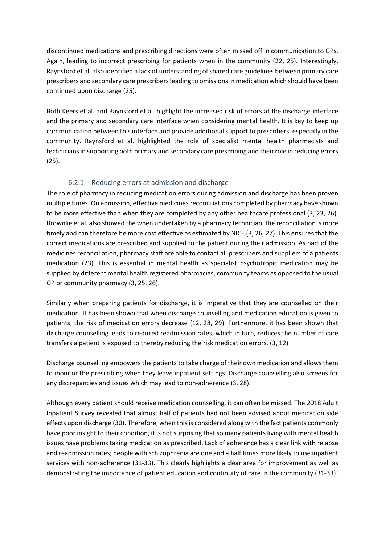discontinued medications and prescribing directions were often missed off in communication to GPs. Again, leading to incorrect prescribing for patients when in the community (22, 25). Interestingly, Raynsford et al. also identified a lack of understanding of shared care guidelines between primary care prescribers and secondary care prescribers leading to omissions in medication which should have been continued upon discharge (25).

Both Keers et al. and Raynsford et al. highlight the increased risk of errors at the discharge interface and the primary and secondary care interface when considering mental health. It is key to keep up communication between this interface and provide additional support to prescribers, especially in the community. Raynsford et al. highlighted the role of specialist mental health pharmacists and technicians in supporting both primary and secondary care prescribing and their role in reducing errors (25).

## 6.2.1 Reducing errors at admission and discharge

<span id="page-7-0"></span>The role of pharmacy in reducing medication errors during admission and discharge has been proven multiple times. On admission, effective medicines reconciliations completed by pharmacy have shown to be more effective than when they are completed by any other healthcare professional (3, 23, 26). Brownlie et al. also showed the when undertaken by a pharmacy technician, the reconciliation is more timely and can therefore be more cost effective as estimated by NICE (3, 26, 27). This ensures that the correct medications are prescribed and supplied to the patient during their admission. As part of the medicines reconciliation, pharmacy staff are able to contact all prescribers and suppliers of a patients medication (23). This is essential in mental health as specialist psychotropic medication may be supplied by different mental health registered pharmacies, community teams as opposed to the usual GP or community pharmacy (3, 25, 26).

Similarly when preparing patients for discharge, it is imperative that they are counselled on their medication. It has been shown that when discharge counselling and medication education is given to patients, the risk of medication errors decrease (12, 28, 29). Furthermore, it has been shown that discharge counselling leads to reduced readmission rates, which in turn, reduces the number of care transfers a patient is exposed to thereby reducing the risk medication errors. (3, 12)

Discharge counselling empowers the patients to take charge of their own medication and allows them to monitor the prescribing when they leave inpatient settings. Discharge counselling also screens for any discrepancies and issues which may lead to non-adherence (3, 28).

Although every patient should receive medication counselling, it can often be missed. The 2018 Adult Inpatient Survey revealed that almost half of patients had not been advised about medication side effects upon discharge (30). Therefore, when this is considered along with the fact patients commonly have poor insight to their condition, it is not surprising that so many patients living with mental health issues have problems taking medication as prescribed. Lack of adherence has a clear link with relapse and readmission rates; people with schizophrenia are one and a half times more likely to use inpatient services with non-adherence (31-33). This clearly highlights a clear area for improvement as well as demonstrating the importance of patient education and continuity of care in the community (31-33).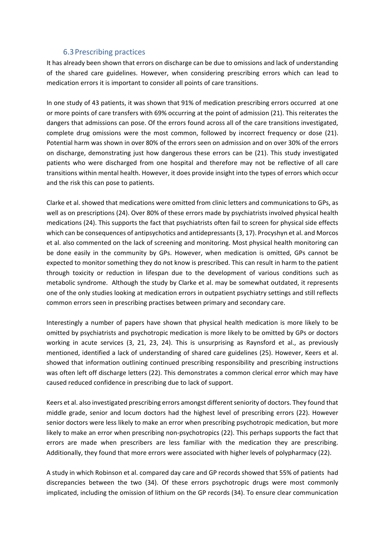#### 6.3Prescribing practices

<span id="page-8-0"></span>It has already been shown that errors on discharge can be due to omissions and lack of understanding of the shared care guidelines. However, when considering prescribing errors which can lead to medication errors it is important to consider all points of care transitions.

In one study of 43 patients, it was shown that 91% of medication prescribing errors occurred at one or more points of care transfers with 69% occurring at the point of admission (21). This reiterates the dangers that admissions can pose. Of the errors found across all of the care transitions investigated, complete drug omissions were the most common, followed by incorrect frequency or dose (21). Potential harm was shown in over 80% of the errors seen on admission and on over 30% of the errors on discharge, demonstrating just how dangerous these errors can be (21). This study investigated patients who were discharged from one hospital and therefore may not be reflective of all care transitions within mental health. However, it does provide insight into the types of errors which occur and the risk this can pose to patients.

Clarke et al. showed that medications were omitted from clinic letters and communications to GPs, as well as on prescriptions (24). Over 80% of these errors made by psychiatrists involved physical health medications (24). This supports the fact that psychiatrists often fail to screen for physical side effects which can be consequences of antipsychotics and antidepressants (3, 17). Procyshyn et al. and Morcos et al. also commented on the lack of screening and monitoring. Most physical health monitoring can be done easily in the community by GPs. However, when medication is omitted, GPs cannot be expected to monitor something they do not know is prescribed. This can result in harm to the patient through toxicity or reduction in lifespan due to the development of various conditions such as metabolic syndrome. Although the study by Clarke et al. may be somewhat outdated, it represents one of the only studies looking at medication errors in outpatient psychiatry settings and still reflects common errors seen in prescribing practises between primary and secondary care.

Interestingly a number of papers have shown that physical health medication is more likely to be omitted by psychiatrists and psychotropic medication is more likely to be omitted by GPs or doctors working in acute services (3, 21, 23, 24). This is unsurprising as Raynsford et al., as previously mentioned, identified a lack of understanding of shared care guidelines (25). However, Keers et al. showed that information outlining continued prescribing responsibility and prescribing instructions was often left off discharge letters (22). This demonstrates a common clerical error which may have caused reduced confidence in prescribing due to lack of support.

Keers et al. also investigated prescribing errors amongst different seniority of doctors. They found that middle grade, senior and locum doctors had the highest level of prescribing errors (22). However senior doctors were less likely to make an error when prescribing psychotropic medication, but more likely to make an error when prescribing non-psychotropics (22). This perhaps supports the fact that errors are made when prescribers are less familiar with the medication they are prescribing. Additionally, they found that more errors were associated with higher levels of polypharmacy (22).

A study in which Robinson et al. compared day care and GP records showed that 55% of patients had discrepancies between the two (34). Of these errors psychotropic drugs were most commonly implicated, including the omission of lithium on the GP records (34). To ensure clear communication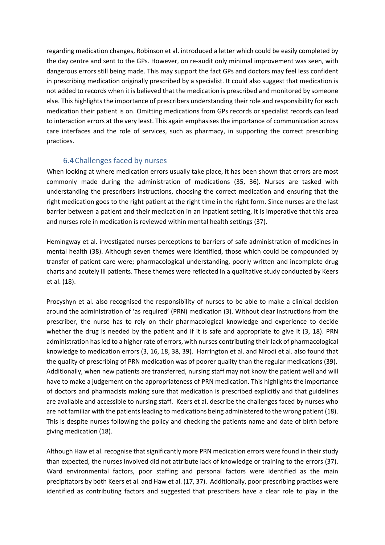regarding medication changes, Robinson et al. introduced a letter which could be easily completed by the day centre and sent to the GPs. However, on re-audit only minimal improvement was seen, with dangerous errors still being made. This may support the fact GPs and doctors may feel less confident in prescribing medication originally prescribed by a specialist. It could also suggest that medication is not added to records when it is believed that the medication is prescribed and monitored by someone else. This highlights the importance of prescribers understanding their role and responsibility for each medication their patient is on. Omitting medications from GPs records or specialist records can lead to interaction errors at the very least. This again emphasises the importance of communication across care interfaces and the role of services, such as pharmacy, in supporting the correct prescribing practices.

## 6.4Challenges faced by nurses

<span id="page-9-0"></span>When looking at where medication errors usually take place, it has been shown that errors are most commonly made during the administration of medications (35, 36). Nurses are tasked with understanding the prescribers instructions, choosing the correct medication and ensuring that the right medication goes to the right patient at the right time in the right form. Since nurses are the last barrier between a patient and their medication in an inpatient setting, it is imperative that this area and nurses role in medication is reviewed within mental health settings (37).

Hemingway et al. investigated nurses perceptions to barriers of safe administration of medicines in mental health (38). Although seven themes were identified, those which could be compounded by transfer of patient care were; pharmacological understanding, poorly written and incomplete drug charts and acutely ill patients. These themes were reflected in a qualitative study conducted by Keers et al. (18).

Procyshyn et al. also recognised the responsibility of nurses to be able to make a clinical decision around the administration of 'as required' (PRN) medication (3). Without clear instructions from the prescriber, the nurse has to rely on their pharmacological knowledge and experience to decide whether the drug is needed by the patient and if it is safe and appropriate to give it (3, 18). PRN administration has led to a higher rate of errors, with nurses contributing their lack of pharmacological knowledge to medication errors (3, 16, 18, 38, 39). Harrington et al. and Nirodi et al. also found that the quality of prescribing of PRN medication was of poorer quality than the regular medications (39). Additionally, when new patients are transferred, nursing staff may not know the patient well and will have to make a judgement on the appropriateness of PRN medication. This highlights the importance of doctors and pharmacists making sure that medication is prescribed explicitly and that guidelines are available and accessible to nursing staff. Keers et al. describe the challenges faced by nurses who are not familiar with the patients leading to medications being administered to the wrong patient (18). This is despite nurses following the policy and checking the patients name and date of birth before giving medication (18).

Although Haw et al. recognise that significantly more PRN medication errors were found in their study than expected, the nurses involved did not attribute lack of knowledge or training to the errors (37). Ward environmental factors, poor staffing and personal factors were identified as the main precipitators by both Keers et al. and Haw et al. (17, 37). Additionally, poor prescribing practises were identified as contributing factors and suggested that prescribers have a clear role to play in the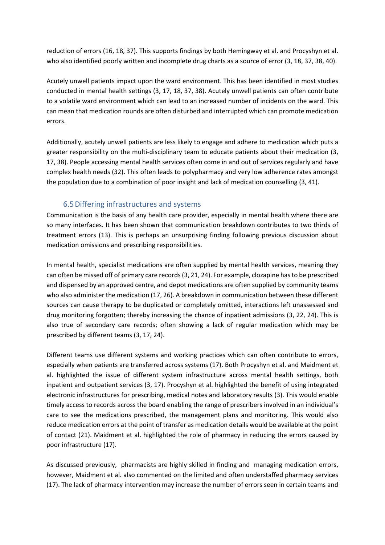reduction of errors (16, 18, 37). This supports findings by both Hemingway et al. and Procyshyn et al. who also identified poorly written and incomplete drug charts as a source of error (3, 18, 37, 38, 40).

Acutely unwell patients impact upon the ward environment. This has been identified in most studies conducted in mental health settings (3, 17, 18, 37, 38). Acutely unwell patients can often contribute to a volatile ward environment which can lead to an increased number of incidents on the ward. This can mean that medication rounds are often disturbed and interrupted which can promote medication errors.

Additionally, acutely unwell patients are less likely to engage and adhere to medication which puts a greater responsibility on the multi-disciplinary team to educate patients about their medication (3, 17, 38). People accessing mental health services often come in and out of services regularly and have complex health needs (32). This often leads to polypharmacy and very low adherence rates amongst the population due to a combination of poor insight and lack of medication counselling (3, 41).

## 6.5Differing infrastructures and systems

<span id="page-10-0"></span>Communication is the basis of any health care provider, especially in mental health where there are so many interfaces. It has been shown that communication breakdown contributes to two thirds of treatment errors (13). This is perhaps an unsurprising finding following previous discussion about medication omissions and prescribing responsibilities.

In mental health, specialist medications are often supplied by mental health services, meaning they can often be missed off of primary care records (3, 21, 24). For example, clozapine has to be prescribed and dispensed by an approved centre, and depot medications are often supplied by community teams who also administer the medication (17, 26). A breakdown in communication between these different sources can cause therapy to be duplicated or completely omitted, interactions left unassessed and drug monitoring forgotten; thereby increasing the chance of inpatient admissions (3, 22, 24). This is also true of secondary care records; often showing a lack of regular medication which may be prescribed by different teams (3, 17, 24).

Different teams use different systems and working practices which can often contribute to errors, especially when patients are transferred across systems (17). Both Procyshyn et al. and Maidment et al. highlighted the issue of different system infrastructure across mental health settings, both inpatient and outpatient services (3, 17). Procyshyn et al. highlighted the benefit of using integrated electronic infrastructures for prescribing, medical notes and laboratory results (3). This would enable timely access to records across the board enabling the range of prescribers involved in an individual's care to see the medications prescribed, the management plans and monitoring. This would also reduce medication errors at the point of transfer as medication details would be available at the point of contact (21). Maidment et al. highlighted the role of pharmacy in reducing the errors caused by poor infrastructure (17).

As discussed previously, pharmacists are highly skilled in finding and managing medication errors, however, Maidment et al. also commented on the limited and often understaffed pharmacy services (17). The lack of pharmacy intervention may increase the number of errors seen in certain teams and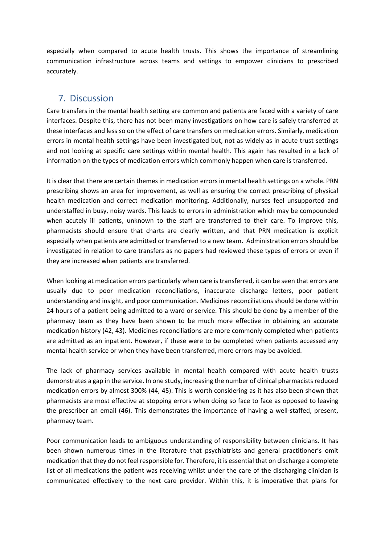especially when compared to acute health trusts. This shows the importance of streamlining communication infrastructure across teams and settings to empower clinicians to prescribed accurately.

# <span id="page-11-0"></span>7. Discussion

Care transfers in the mental health setting are common and patients are faced with a variety of care interfaces. Despite this, there has not been many investigations on how care is safely transferred at these interfaces and less so on the effect of care transfers on medication errors. Similarly, medication errors in mental health settings have been investigated but, not as widely as in acute trust settings and not looking at specific care settings within mental health. This again has resulted in a lack of information on the types of medication errors which commonly happen when care is transferred.

It is clear that there are certain themes in medication errors in mental health settings on a whole. PRN prescribing shows an area for improvement, as well as ensuring the correct prescribing of physical health medication and correct medication monitoring. Additionally, nurses feel unsupported and understaffed in busy, noisy wards. This leads to errors in administration which may be compounded when acutely ill patients, unknown to the staff are transferred to their care. To improve this, pharmacists should ensure that charts are clearly written, and that PRN medication is explicit especially when patients are admitted or transferred to a new team. Administration errors should be investigated in relation to care transfers as no papers had reviewed these types of errors or even if they are increased when patients are transferred.

When looking at medication errors particularly when care is transferred, it can be seen that errors are usually due to poor medication reconciliations, inaccurate discharge letters, poor patient understanding and insight, and poor communication. Medicines reconciliations should be done within 24 hours of a patient being admitted to a ward or service. This should be done by a member of the pharmacy team as they have been shown to be much more effective in obtaining an accurate medication history (42, 43). Medicines reconciliations are more commonly completed when patients are admitted as an inpatient. However, if these were to be completed when patients accessed any mental health service or when they have been transferred, more errors may be avoided.

The lack of pharmacy services available in mental health compared with acute health trusts demonstrates a gap in the service. In one study, increasing the number of clinical pharmacists reduced medication errors by almost 300% (44, 45). This is worth considering as it has also been shown that pharmacists are most effective at stopping errors when doing so face to face as opposed to leaving the prescriber an email (46). This demonstrates the importance of having a well-staffed, present, pharmacy team.

Poor communication leads to ambiguous understanding of responsibility between clinicians. It has been shown numerous times in the literature that psychiatrists and general practitioner's omit medication that they do not feel responsible for. Therefore, it is essential that on discharge a complete list of all medications the patient was receiving whilst under the care of the discharging clinician is communicated effectively to the next care provider. Within this, it is imperative that plans for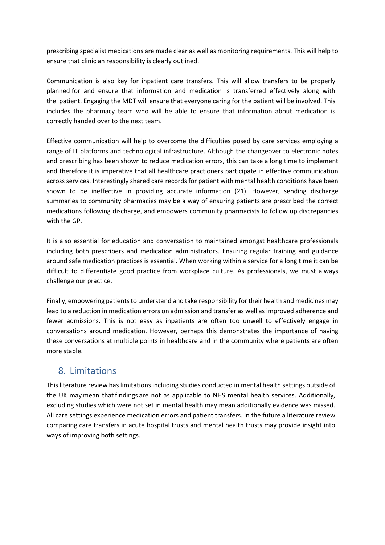prescribing specialist medications are made clear as well as monitoring requirements. This will help to ensure that clinician responsibility is clearly outlined.

Communication is also key for inpatient care transfers. This will allow transfers to be properly planned for and ensure that information and medication is transferred effectively along with the patient. Engaging the MDT will ensure that everyone caring for the patient will be involved. This includes the pharmacy team who will be able to ensure that information about medication is correctly handed over to the next team.

Effective communication will help to overcome the difficulties posed by care services employing a range of IT platforms and technological infrastructure. Although the changeover to electronic notes and prescribing has been shown to reduce medication errors, this can take a long time to implement and therefore it is imperative that all healthcare practioners participate in effective communication across services. Interestingly shared care records for patient with mental health conditions have been shown to be ineffective in providing accurate information (21). However, sending discharge summaries to community pharmacies may be a way of ensuring patients are prescribed the correct medications following discharge, and empowers community pharmacists to follow up discrepancies with the GP.

It is also essential for education and conversation to maintained amongst healthcare professionals including both prescribers and medication administrators. Ensuring regular training and guidance around safe medication practices is essential. When working within a service for a long time it can be difficult to differentiate good practice from workplace culture. As professionals, we must always challenge our practice.

Finally, empowering patients to understand and take responsibility for their health and medicines may lead to a reduction in medication errors on admission and transfer as well as improved adherence and fewer admissions. This is not easy as inpatients are often too unwell to effectively engage in conversations around medication. However, perhaps this demonstrates the importance of having these conversations at multiple points in healthcare and in the community where patients are often more stable.

# <span id="page-12-0"></span>8. Limitations

This literature review has limitations including studies conducted in mental health settings outside of the UK may mean that findings are not as applicable to NHS mental health services. Additionally, excluding studies which were not set in mental health may mean additionally evidence was missed. All care settings experience medication errors and patient transfers. In the future a literature review comparing care transfers in acute hospital trusts and mental health trusts may provide insight into ways of improving both settings.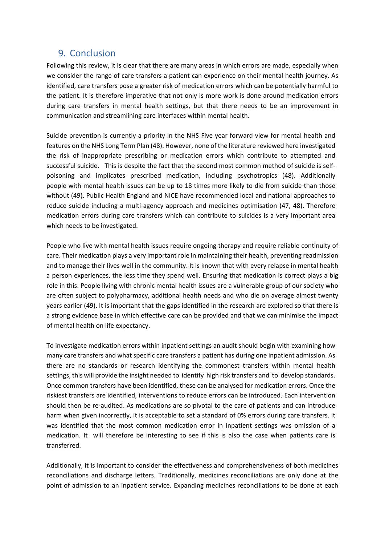## <span id="page-13-0"></span>9. Conclusion

Following this review, it is clear that there are many areas in which errors are made, especially when we consider the range of care transfers a patient can experience on their mental health journey. As identified, care transfers pose a greater risk of medication errors which can be potentially harmful to the patient. It is therefore imperative that not only is more work is done around medication errors during care transfers in mental health settings, but that there needs to be an improvement in communication and streamlining care interfaces within mental health.

Suicide prevention is currently a priority in the NHS Five year forward view for mental health and features on the NHS Long Term Plan (48). However, none of the literature reviewed here investigated the risk of inappropriate prescribing or medication errors which contribute to attempted and successful suicide. This is despite the fact that the second most common method of suicide is selfpoisoning and implicates prescribed medication, including psychotropics (48). Additionally people with mental health issues can be up to 18 times more likely to die from suicide than those without (49). Public Health England and NICE have recommended local and national approaches to reduce suicide including a multi-agency approach and medicines optimisation (47, 48). Therefore medication errors during care transfers which can contribute to suicides is a very important area which needs to be investigated.

People who live with mental health issues require ongoing therapy and require reliable continuity of care. Their medication plays a very important role in maintaining their health, preventing readmission and to manage their lives well in the community. It is known that with every relapse in mental health a person experiences, the less time they spend well. Ensuring that medication is correct plays a big role in this. People living with chronic mental health issues are a vulnerable group of our society who are often subject to polypharmacy, additional health needs and who die on average almost twenty years earlier (49). It is important that the gaps identified in the research are explored so that there is a strong evidence base in which effective care can be provided and that we can minimise the impact of mental health on life expectancy.

To investigate medication errors within inpatient settings an audit should begin with examining how many care transfers and what specific care transfers a patient has during one inpatient admission. As there are no standards or research identifying the commonest transfers within mental health settings, this will provide the insight needed to identify high risk transfers and to develop standards. Once common transfers have been identified, these can be analysed for medication errors. Once the riskiest transfers are identified, interventions to reduce errors can be introduced. Each intervention should then be re-audited. As medications are so pivotal to the care of patients and can introduce harm when given incorrectly, it is acceptable to set a standard of 0% errors during care transfers. It was identified that the most common medication error in inpatient settings was omission of a medication. It will therefore be interesting to see if this is also the case when patients care is transferred.

Additionally, it is important to consider the effectiveness and comprehensiveness of both medicines reconciliations and discharge letters. Traditionally, medicines reconciliations are only done at the point of admission to an inpatient service. Expanding medicines reconciliations to be done at each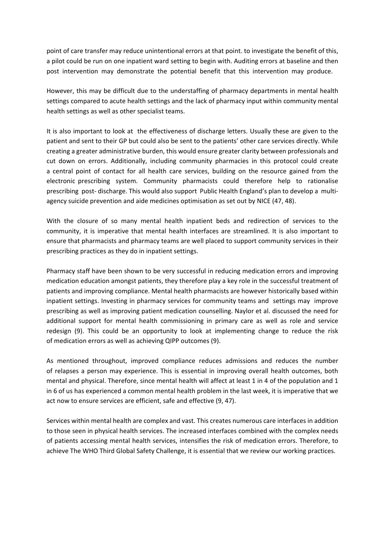point of care transfer may reduce unintentional errors at that point. to investigate the benefit of this, a pilot could be run on one inpatient ward setting to begin with. Auditing errors at baseline and then post intervention may demonstrate the potential benefit that this intervention may produce.

However, this may be difficult due to the understaffing of pharmacy departments in mental health settings compared to acute health settings and the lack of pharmacy input within community mental health settings as well as other specialist teams.

It is also important to look at the effectiveness of discharge letters. Usually these are given to the patient and sent to their GP but could also be sent to the patients' other care services directly. While creating a greater administrative burden, this would ensure greater clarity between professionals and cut down on errors. Additionally, including community pharmacies in this protocol could create a central point of contact for all health care services, building on the resource gained from the electronic prescribing system. Community pharmacists could therefore help to rationalise prescribing post- discharge. This would also support Public Health England's plan to develop a multiagency suicide prevention and aide medicines optimisation as set out by NICE (47, 48).

With the closure of so many mental health inpatient beds and redirection of services to the community, it is imperative that mental health interfaces are streamlined. It is also important to ensure that pharmacists and pharmacy teams are well placed to support community services in their prescribing practices as they do in inpatient settings.

Pharmacy staff have been shown to be very successful in reducing medication errors and improving medication education amongst patients, they therefore play a key role in the successful treatment of patients and improving compliance. Mental health pharmacists are however historically based within inpatient settings. Investing in pharmacy services for community teams and settings may improve prescribing as well as improving patient medication counselling. Naylor et al. discussed the need for additional support for mental health commissioning in primary care as well as role and service redesign (9). This could be an opportunity to look at implementing change to reduce the risk of medication errors as well as achieving QIPP outcomes (9).

As mentioned throughout, improved compliance reduces admissions and reduces the number of relapses a person may experience. This is essential in improving overall health outcomes, both mental and physical. Therefore, since mental health will affect at least 1 in 4 of the population and 1 in 6 of us has experienced a common mental health problem in the last week, it is imperative that we act now to ensure services are efficient, safe and effective (9, 47).

Services within mental health are complex and vast. This creates numerous care interfaces in addition to those seen in physical health services. The increased interfaces combined with the complex needs of patients accessing mental health services, intensifies the risk of medication errors. Therefore, to achieve The WHO Third Global Safety Challenge, it is essential that we review our working practices.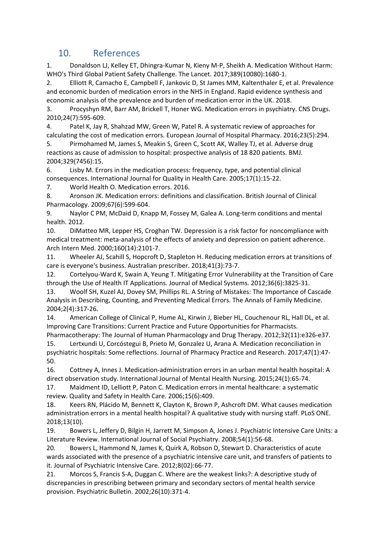# <span id="page-15-0"></span>10. References

1. Donaldson LJ, Kelley ET, Dhingra-Kumar N, Kieny M-P, Sheikh A. Medication Without Harm: WHO's Third Global Patient Safety Challenge. The Lancet. 2017;389(10080):1680-1.

2. Elliott R, Camacho E, Campbell F, Jankovic D, St James MM, Kaltenthaler E, et al. Prevalence and economic burden of medication errors in the NHS in England. Rapid evidence synthesis and economic analysis of the prevalence and burden of medication error in the UK. 2018.

3. Procyshyn RM, Barr AM, Brickell T, Honer WG. Medication errors in psychiatry. CNS Drugs. 2010;24(7):595-609.

4. Patel K, Jay R, Shahzad MW, Green W, Patel R. A systematic review of approaches for calculating the cost of medication errors. European Journal of Hospital Pharmacy. 2016;23(5):294.

5. Pirmohamed M, James S, Meakin S, Green C, Scott AK, Walley TJ, et al. Adverse drug reactions as cause of admission to hospital: prospective analysis of 18 820 patients. BMJ. 2004;329(7456):15.

6. Lisby M. Errors in the medication process: frequency, type, and potential clinical consequences. International Journal for Quality in Health Care. 2005;17(1):15-22.

7. World Health O. Medication errors. 2016.

8. Aronson JK. Medication errors: definitions and classification. British Journal of Clinical Pharmacology. 2009;67(6):599-604.

9. Naylor C PM, McDaid D, Knapp M, Fossey M, Galea A. Long-term conditions and mental health. 2012.

10. DiMatteo MR, Lepper HS, Croghan TW. Depression is a risk factor for noncompliance with medical treatment: meta-analysis of the effects of anxiety and depression on patient adherence. Arch Intern Med. 2000;160(14):2101-7.

11. Wheeler AJ, Scahill S, Hopcroft D, Stapleton H. Reducing medication errors at transitions of care is everyone's business. Australian prescriber. 2018;41(3):73-7.

12. Cortelyou-Ward K, Swain A, Yeung T. Mitigating Error Vulnerability at the Transition of Care through the Use of Health IT Applications. Journal of Medical Systems. 2012;36(6):3825-31.

13. Woolf SH, Kuzel AJ, Dovey SM, Phillips RL. A String of Mistakes: The Importance of Cascade Analysis in Describing, Counting, and Preventing Medical Errors. The Annals of Family Medicine. 2004;2(4):317-26.

14. American College of Clinical P, Hume AL, Kirwin J, Bieber HL, Couchenour RL, Hall DL, et al. Improving Care Transitions: Current Practice and Future Opportunities for Pharmacists.

Pharmacotherapy: The Journal of Human Pharmacology and Drug Therapy. 2012;32(11):e326-e37. 15. Lertxundi U, Corcóstegui B, Prieto M, Gonzalez U, Arana A. Medication reconciliation in psychiatric hospitals: Some reflections. Journal of Pharmacy Practice and Research. 2017;47(1):47- 50.

16. Cottney A, Innes J. Medication-administration errors in an urban mental health hospital: A direct observation study. International Journal of Mental Health Nursing. 2015;24(1):65-74.

17. Maidment ID, Lelliott P, Paton C. Medication errors in mental healthcare: a systematic review. Quality and Safety in Health Care. 2006;15(6):409.

18. Keers RN, Plácido M, Bennett K, Clayton K, Brown P, Ashcroft DM. What causes medication administration errors in a mental health hospital? A qualitative study with nursing staff. PLoS ONE. 2018;13(10).

19. Bowers L, Jeffery D, Bilgin H, Jarrett M, Simpson A, Jones J. Psychiatric Intensive Care Units: a Literature Review. International Journal of Social Psychiatry. 2008;54(1):56-68.

20. Bowers L, Hammond N, James K, Quirk A, Robson D, Stewart D. Characteristics of acute wards associated with the presence of a psychiatric intensive care unit, and transfers of patients to it. Journal of Psychiatric Intensive Care. 2012;8(02):66-77.

21. Morcos S, Francis S-A, Duggan C. Where are the weakest links?: A descriptive study of discrepancies in prescribing between primary and secondary sectors of mental health service provision. Psychiatric Bulletin. 2002;26(10):371-4.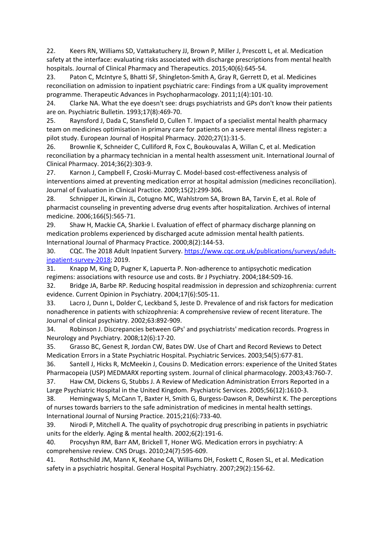22. Keers RN, Williams SD, Vattakatuchery JJ, Brown P, Miller J, Prescott L, et al. Medication safety at the interface: evaluating risks associated with discharge prescriptions from mental health hospitals. Journal of Clinical Pharmacy and Therapeutics. 2015;40(6):645-54.

23. Paton C, McIntyre S, Bhatti SF, Shingleton-Smith A, Gray R, Gerrett D, et al. Medicines reconciliation on admission to inpatient psychiatric care: Findings from a UK quality improvement programme. Therapeutic Advances in Psychopharmacology. 2011;1(4):101-10.

24. Clarke NA. What the eye doesn't see: drugs psychiatrists and GPs don't know their patients are on. Psychiatric Bulletin. 1993;17(8):469-70.

25. Raynsford J, Dada C, Stansfield D, Cullen T. Impact of a specialist mental health pharmacy team on medicines optimisation in primary care for patients on a severe mental illness register: a pilot study. European Journal of Hospital Pharmacy. 2020;27(1):31-5.

26. Brownlie K, Schneider C, Culliford R, Fox C, Boukouvalas A, Willan C, et al. Medication reconciliation by a pharmacy technician in a mental health assessment unit. International Journal of Clinical Pharmacy. 2014;36(2):303-9.

27. Karnon J, Campbell F, Czoski-Murray C. Model-based cost-effectiveness analysis of interventions aimed at preventing medication error at hospital admission (medicines reconciliation). Journal of Evaluation in Clinical Practice. 2009;15(2):299-306.

28. Schnipper JL, Kirwin JL, Cotugno MC, Wahlstrom SA, Brown BA, Tarvin E, et al. Role of pharmacist counseling in preventing adverse drug events after hospitalization. Archives of internal medicine. 2006;166(5):565-71.

29. Shaw H, Mackie CA, Sharkie I. Evaluation of effect of pharmacy discharge planning on medication problems experienced by discharged acute admission mental health patients. International Journal of Pharmacy Practice. 2000;8(2):144-53.

30. CQC. The 2018 Adult Inpatient Survery. [https://www.cqc.org.uk/publications/surveys/adult](https://www.cqc.org.uk/publications/surveys/adult-inpatient-survey-2018)[inpatient-survey-2018;](https://www.cqc.org.uk/publications/surveys/adult-inpatient-survey-2018) 2019.

31. Knapp M, King D, Pugner K, Lapuerta P. Non-adherence to antipsychotic medication regimens: associations with resource use and costs. Br J Psychiatry. 2004;184:509-16.

32. Bridge JA, Barbe RP. Reducing hospital readmission in depression and schizophrenia: current evidence. Current Opinion in Psychiatry. 2004;17(6):505-11.

33. Lacro J, Dunn L, Dolder C, Leckband S, Jeste D. Prevalence of and risk factors for medication nonadherence in patients with schizophrenia: A comprehensive review of recent literature. The Journal of clinical psychiatry. 2002;63:892-909.

34. Robinson J. Discrepancies between GPs' and psychiatrists' medication records. Progress in Neurology and Psychiatry. 2008;12(6):17-20.

35. Grasso BC, Genest R, Jordan CW, Bates DW. Use of Chart and Record Reviews to Detect Medication Errors in a State Psychiatric Hospital. Psychiatric Services. 2003;54(5):677-81.

36. Santell J, Hicks R, McMeekin J, Cousins D. Medication errors: experience of the United States Pharmacopeia (USP) MEDMARX reporting system. Journal of clinical pharmacology. 2003;43:760-7.

37. Haw CM, Dickens G, Stubbs J. A Review of Medication Administration Errors Reported in a Large Psychiatric Hospital in the United Kingdom. Psychiatric Services. 2005;56(12):1610-3.

38. Hemingway S, McCann T, Baxter H, Smith G, Burgess-Dawson R, Dewhirst K. The perceptions of nurses towards barriers to the safe administration of medicines in mental health settings. International Journal of Nursing Practice. 2015;21(6):733-40.

39. Nirodi P, Mitchell A. The quality of psychotropic drug prescribing in patients in psychiatric units for the elderly. Aging & mental health. 2002;6(2):191-6.

40. Procyshyn RM, Barr AM, Brickell T, Honer WG. Medication errors in psychiatry: A comprehensive review. CNS Drugs. 2010;24(7):595-609.

41. Rothschild JM, Mann K, Keohane CA, Williams DH, Foskett C, Rosen SL, et al. Medication safety in a psychiatric hospital. General Hospital Psychiatry. 2007;29(2):156-62.